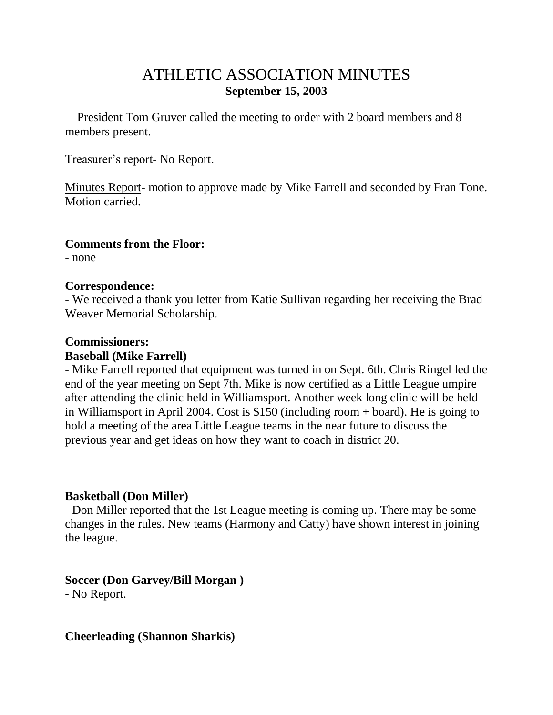## ATHLETIC ASSOCIATION MINUTES **September 15, 2003**

 President Tom Gruver called the meeting to order with 2 board members and 8 members present.

Treasurer's report- No Report.

Minutes Report- motion to approve made by Mike Farrell and seconded by Fran Tone. Motion carried.

#### **Comments from the Floor:**

- none

#### **Correspondence:**

- We received a thank you letter from Katie Sullivan regarding her receiving the Brad Weaver Memorial Scholarship.

## **Commissioners:**

### **Baseball (Mike Farrell)**

- Mike Farrell reported that equipment was turned in on Sept. 6th. Chris Ringel led the end of the year meeting on Sept 7th. Mike is now certified as a Little League umpire after attending the clinic held in Williamsport. Another week long clinic will be held in Williamsport in April 2004. Cost is \$150 (including room + board). He is going to hold a meeting of the area Little League teams in the near future to discuss the previous year and get ideas on how they want to coach in district 20.

## **Basketball (Don Miller)**

- Don Miller reported that the 1st League meeting is coming up. There may be some changes in the rules. New teams (Harmony and Catty) have shown interest in joining the league.

**Soccer (Don Garvey/Bill Morgan )** - No Report.

**Cheerleading (Shannon Sharkis)**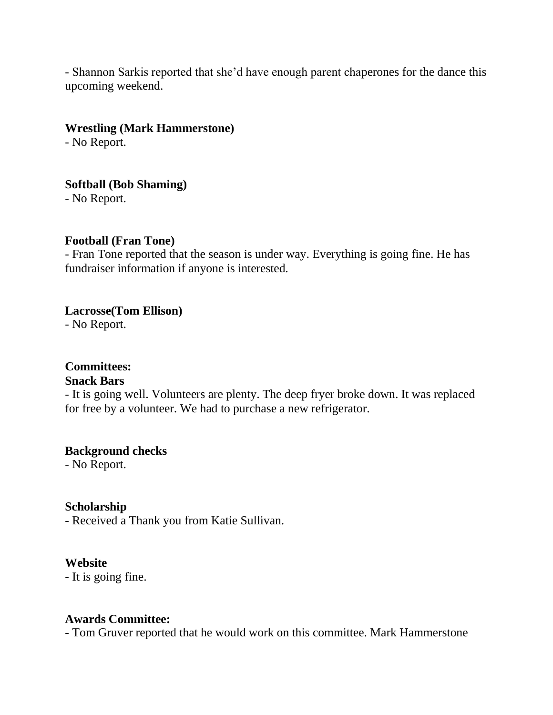- Shannon Sarkis reported that she'd have enough parent chaperones for the dance this upcoming weekend.

#### **Wrestling (Mark Hammerstone)**

- No Report.

## **Softball (Bob Shaming)**

- No Report.

#### **Football (Fran Tone)**

- Fran Tone reported that the season is under way. Everything is going fine. He has fundraiser information if anyone is interested.

#### **Lacrosse(Tom Ellison)**

- No Report.

# **Committees:**

### **Snack Bars**

- It is going well. Volunteers are plenty. The deep fryer broke down. It was replaced for free by a volunteer. We had to purchase a new refrigerator.

## **Background checks**

- No Report.

## **Scholarship**

- Received a Thank you from Katie Sullivan.

## **Website**

- It is going fine.

#### **Awards Committee:**

- Tom Gruver reported that he would work on this committee. Mark Hammerstone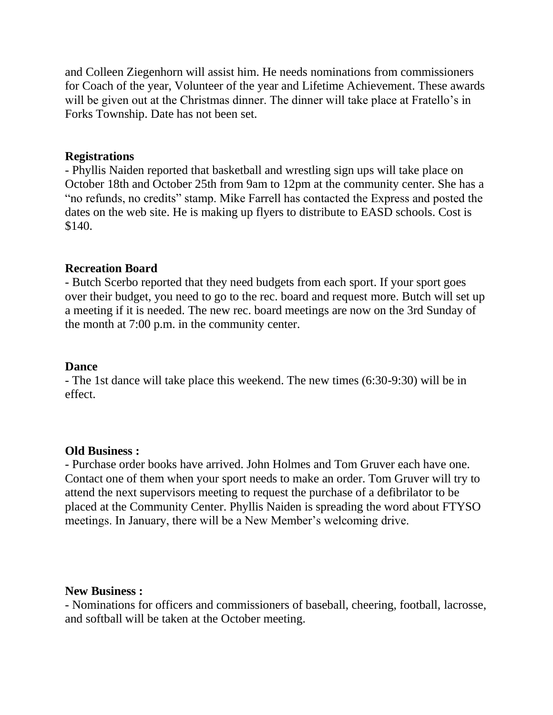and Colleen Ziegenhorn will assist him. He needs nominations from commissioners for Coach of the year, Volunteer of the year and Lifetime Achievement. These awards will be given out at the Christmas dinner. The dinner will take place at Fratello's in Forks Township. Date has not been set.

#### **Registrations**

- Phyllis Naiden reported that basketball and wrestling sign ups will take place on October 18th and October 25th from 9am to 12pm at the community center. She has a "no refunds, no credits" stamp. Mike Farrell has contacted the Express and posted the dates on the web site. He is making up flyers to distribute to EASD schools. Cost is \$140.

#### **Recreation Board**

- Butch Scerbo reported that they need budgets from each sport. If your sport goes over their budget, you need to go to the rec. board and request more. Butch will set up a meeting if it is needed. The new rec. board meetings are now on the 3rd Sunday of the month at 7:00 p.m. in the community center.

#### **Dance**

- The 1st dance will take place this weekend. The new times (6:30-9:30) will be in effect.

#### **Old Business :**

- Purchase order books have arrived. John Holmes and Tom Gruver each have one. Contact one of them when your sport needs to make an order. Tom Gruver will try to attend the next supervisors meeting to request the purchase of a defibrilator to be placed at the Community Center. Phyllis Naiden is spreading the word about FTYSO meetings. In January, there will be a New Member's welcoming drive.

#### **New Business :**

- Nominations for officers and commissioners of baseball, cheering, football, lacrosse, and softball will be taken at the October meeting.